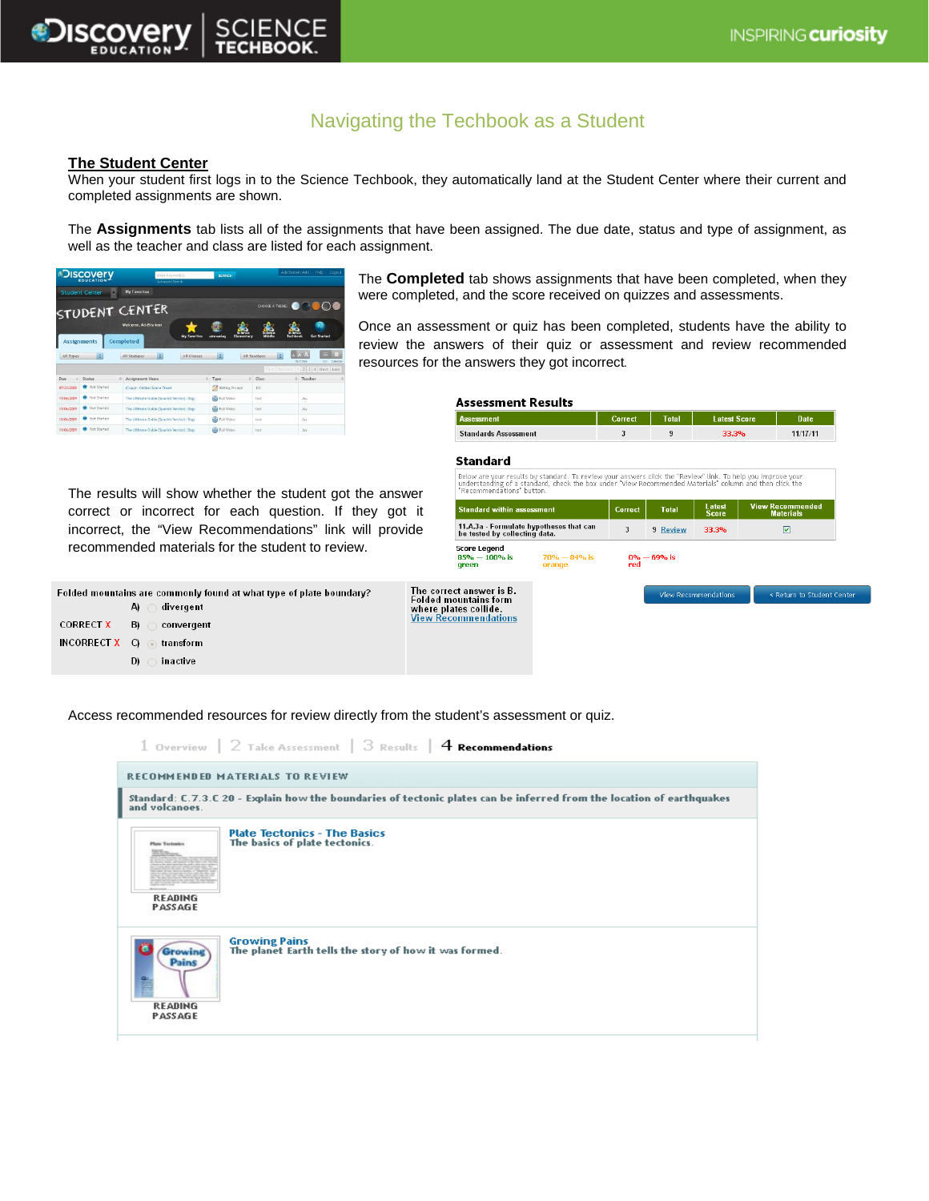

# Navigating the Techbook as a Student

### **The Student Center**

When your student first logs in to the Science Techbook, they automatically land at the Student Center where their current and completed assignments are shown.

The **Assignments** tab lists all of the assignments that have been assigned. The due date, status and type of assignment, as well as the teacher and class are listed for each assignment.

| <b><i><u>Discovery</u></i></b>                              |                             |                                            | erter keinvordis)<br>Advanced Search |                              | <b>SEARCH</b>                |                    |          | AddStudent Add<br>Help.<br>Logout   |                         |
|-------------------------------------------------------------|-----------------------------|--------------------------------------------|--------------------------------------|------------------------------|------------------------------|--------------------|----------|-------------------------------------|-------------------------|
|                                                             | <b>Student Center</b><br>۰. | My Favorites                               |                                      |                              |                              |                    |          |                                     |                         |
|                                                             |                             | STUDENT CENTER                             |                                      |                              |                              | CHOOSE A THEME!    |          |                                     |                         |
|                                                             |                             | Welcome, AddStudent                        |                                      |                              | <b><i><u>Primary</u></i></b> | <b>CERTIFICATE</b> |          |                                     |                         |
|                                                             | <b>Assignments</b>          | Completed                                  | <b>My favorites</b>                  | <b>Afreemies</b>             | Elementery                   | Middle             | lechback | <b>Get Started</b>                  |                         |
|                                                             |                             |                                            |                                      |                              |                              |                    |          |                                     |                         |
| All Types                                                   | H                           | i÷l<br>All Statutes                        | All Classes                          | $\left  \frac{1}{2} \right $ |                              | All Teachers       | ia.      |                                     |                         |
|                                                             |                             |                                            |                                      |                              |                              | First Freezun      |          | <b>Take Corp</b><br>2 3 4 Next Last | Calendar<br><b>Dark</b> |
| i.                                                          | Status                      | Ō.<br>Assignment Name                      |                                      | $O$ Type                     |                              | C Class            | a.       | Teacher                             |                         |
|                                                             | Not Started                 | (Copy) - Clyflan Space Travel              |                                      | Writing Prompt               |                              | 123                |          |                                     |                         |
|                                                             | <b>B</b> Not Started        | The Ultimate Guide (Spanish Verslon): Dogs |                                      | <b>Ca</b> Full Video         |                              | tect               |          | $J$ iv                              |                         |
|                                                             | Not Started                 | The Utinate Guide (Spanish Version): Dogs  |                                      | <b>Cal</b> Full Video        |                              | test               |          | Jay                                 |                         |
| Due<br>07/22/2008<br>11/06/2089<br>11/06/2009<br>11/06/2009 | Not Started                 | The Ultimate Guide (Spanish Version): Dogs |                                      | <b>GB</b> Full Video         |                              | test               |          | Jay.                                | $\circ$                 |

The **Completed** tab shows assignments that have been completed, when they were completed, and the score received on quizzes and assessments.

Once an assessment or quiz has been completed, students have the ability to review the answers of their quiz or assessment and review recommended resources for the answers they got incorrect*.* 

| Assessment Results |
|--------------------|
|--------------------|

| ssessment                   | Correct | Total | <b>Latest Score</b> | Date <sup>1</sup> |
|-----------------------------|---------|-------|---------------------|-------------------|
| <b>Standards Assessment</b> |         |       | 33.3%               | 11/17/11          |

## **Standard**

The results will show whether the student got the answer correct or incorrect for each question. If they got it incorrect, the "View Recommendations" link will provide recom

| sults will show whether the student got the answer | <b>RECOL</b>     |
|----------------------------------------------------|------------------|
| t or incorrect for each question. If they got it   | Stand            |
| ect. the "View Recommendations" link will provide  | 11.A.3<br>be tes |
| mended materials for the student to review.        | Score<br>$85% -$ |

| Folded mountains are commonly found at what type of plate boundary? |     |                                      |  |  |  |  |
|---------------------------------------------------------------------|-----|--------------------------------------|--|--|--|--|
|                                                                     |     | divergent<br>$\mathbf{A}$ $\bigcirc$ |  |  |  |  |
| CORRECT $X$ B) $\bigcirc$                                           |     | convergent                           |  |  |  |  |
| <b>INCORRECT X</b> $\bigcirc$ $\bigcirc$ transform                  |     |                                      |  |  |  |  |
|                                                                     | D). | inactive                             |  |  |  |  |

| Below are your results by standard. To review your answers click the "Review" link. To help you improve your<br>understanding of a standard, check the box under "View Recommended Materials" column and then click the<br>"Recommendations" button. |                            |              |                               |                                             |                            |  |  |  |  |
|------------------------------------------------------------------------------------------------------------------------------------------------------------------------------------------------------------------------------------------------------|----------------------------|--------------|-------------------------------|---------------------------------------------|----------------------------|--|--|--|--|
| <b>Standard within assessment</b>                                                                                                                                                                                                                    | Correct                    | <b>Total</b> | <b>Latest</b><br><b>Score</b> | <b>View Recommended</b><br><b>Materials</b> |                            |  |  |  |  |
| 11.A.3a - Formulate hypotheses that can<br>be tested by collecting data.                                                                                                                                                                             | 3                          | 9 Review     | 33.3%                         | ☑                                           |                            |  |  |  |  |
| <b>Score Legend</b><br>$85% - 100%$ is<br>areen                                                                                                                                                                                                      | $70\% - 84\%$ is<br>orange | red          | $0\% - 69\%$ is               |                                             |                            |  |  |  |  |
| The correct answer is B.<br><b>Folded mountains form</b><br>where plates collide.<br><b>View Recommendations</b>                                                                                                                                     |                            |              |                               | <b>View Recommendations</b>                 | « Return to Student Center |  |  |  |  |

Access recommended resources for review directly from the student's assessment or quiz.

1 Overview | 2 Take Assessment | 3 Results | 4 Recommendations RECOMMENDED MATERIALS TO REVIEW Standard: C.7.3.C 20 - Explain how the boundaries of tectonic plates can be inferred from the location of earthquakes and volcanoes **Plate Tectonics - The Basics<br>The basics of plate tectonics. READING** PASSAGE Growing Pains<br>The planet Earth tells the story of how it was formed. **Growing** Pains **READING** PASSAGE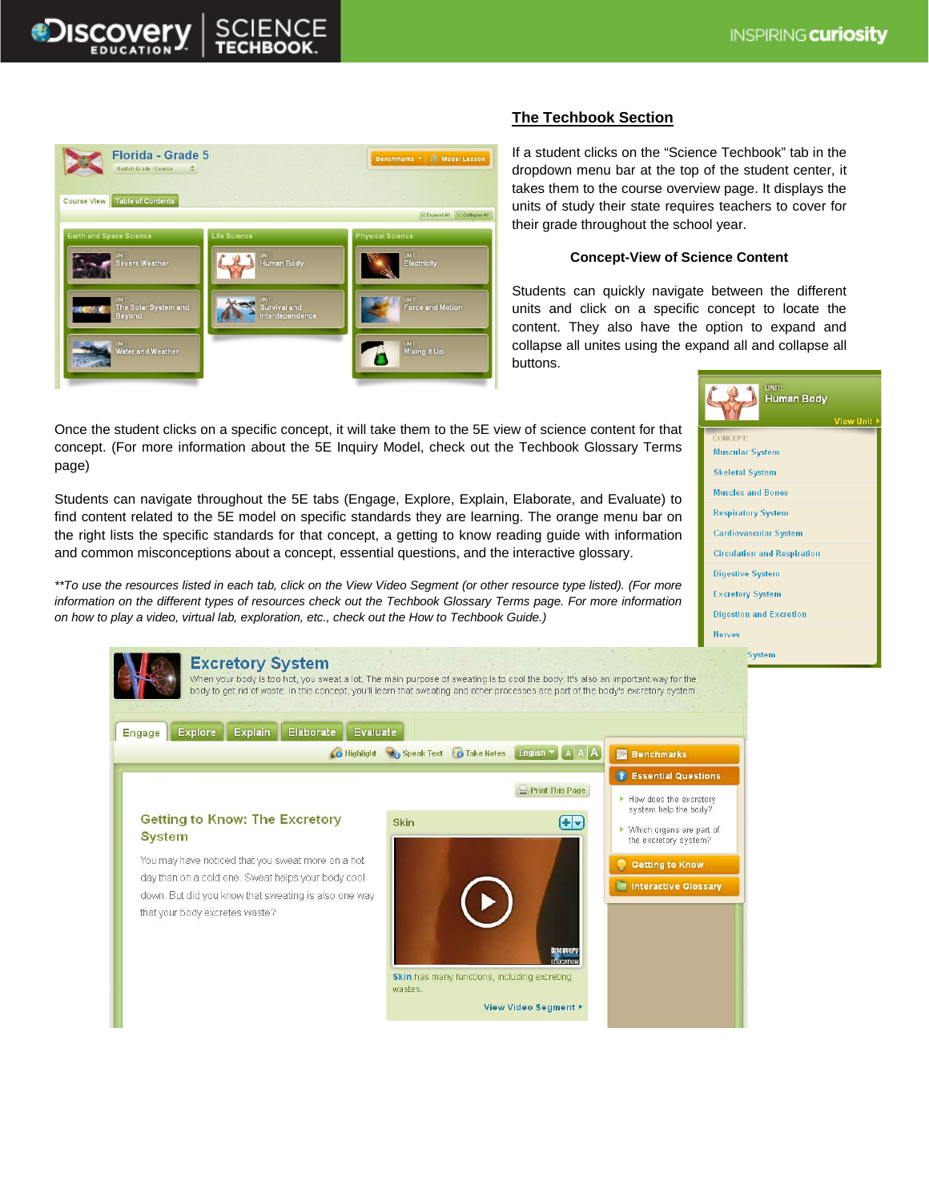



# **The Techbook Section**

If a student clicks on the "Science Techbook" tab in the dropdown menu bar at the top of the student center, it takes them to the course overview page. It displays the units of study their state requires teachers to cover for their grade throughout the school year.

### **Concept-View of Science Content**

Students can quickly navigate between the different units and click on a specific concept to locate the content. They also have the option to expand and collapse all unites using the expand all and collapse all buttons.



Once the student clicks on a specific concept, it will take them to the 5E view of science content for that concept. (For more information about the 5E Inquiry Model, check out the Techbook Glossary Terms page)

Students can navigate throughout the 5E tabs (Engage, Explore, Explain, Elaborate, and Evaluate) to find content related to the 5E model on specific standards they are learning. The orange menu bar on the right lists the specific standards for that concept, a getting to know reading guide with information and common misconceptions about a concept, essential questions, and the interactive glossary.

*\*\*To use the resources listed in each tab, click on the View Video Segment (or other resource type listed). (For more information on the different types of resources check out the Techbook Glossary Terms page. For more information on how to play a video, virtual lab, exploration, etc., check out the How to Techbook Guide.)*